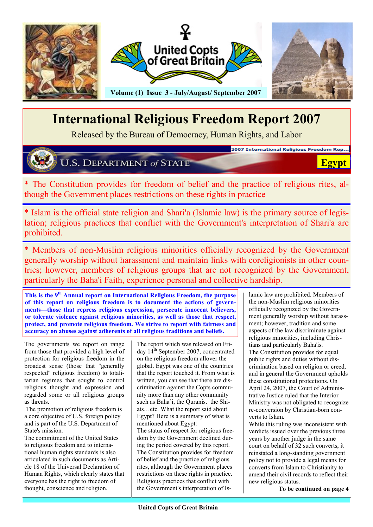

# International Religious Freedom Report 2007

Released by the Bureau of Democracy, Human Rights, and Labor



\* The Constitution provides for freedom of belief and the practice of religious rites, although the Government places restrictions on these rights in practice

\* Islam is the official state religion and Shari'a (Islamic law) is the primary source of legislation; religious practices that conflict with the Government's interpretation of Shari'a are prohibited.

\* Members of non-Muslim religious minorities officially recognized by the Government generally worship without harassment and maintain links with coreligionists in other countries; however, members of religious groups that are not recognized by the Government, particularly the Baha'i Faith, experience personal and collective hardship.

This is the 9<sup>th</sup> Annual report on International Religious Freedom, the purpose of this report on religious freedom is to document the actions of governments—those that repress religious expression, persecute innocent believers, or tolerate violence against religious minorities, as well as those that respect, protect, and promote religious freedom. We strive to report with fairness and accuracy on abuses against adherents of all religious traditions and beliefs.

The governments we report on range from those that provided a high level of protection for religious freedom in the broadest sense (those that "generally respected" religious freedom) to totalitarian regimes that sought to control religious thought and expression and regarded some or all religious groups as threats.

 The promotion of religious freedom is a core objective of U.S. foreign policy and is part of the U.S. Department of State's mission.

The commitment of the United States to religious freedom and to international human rights standards is also articulated in such documents as Article 18 of the Universal Declaration of Human Rights, which clearly states that everyone has the right to freedom of thought, conscience and religion.

The report which was released on Friday 14<sup>th</sup> September 2007, concentrated on the religious freedom allover the global. Egypt was one of the countries that the report touched it. From what is written, you can see that there are discrimination against the Copts community more than any other community such as Baha'i, the Quranis. the Shiats…etc. What the report said about Egypt? Here is a summary of what is mentioned about Egypt: The status of respect for religious freedom by the Government declined during the period covered by this report. The Constitution provides for freedom of belief and the practice of religious rites, although the Government places restrictions on these rights in practice. Religious practices that conflict with the Government's interpretation of Islamic law are prohibited. Members of the non-Muslim religious minorities officially recognized by the Government generally worship without harassment; however, tradition and some aspects of the law discriminate against religious minorities, including Christians and particularly Baha'is. The Constitution provides for equal public rights and duties without discrimination based on religion or creed, and in general the Government upholds these constitutional protections. On April 24, 2007, the Court of Administrative Justice ruled that the Interior Ministry was not obligated to recognize re-conversion by Christian-born converts to Islam.

Egypt

While this ruling was inconsistent with verdicts issued over the previous three years by another judge in the same court on behalf of 32 such converts, it reinstated a long-standing government policy not to provide a legal means for converts from Islam to Christianity to amend their civil records to reflect their new religious status.

To be continued on page 4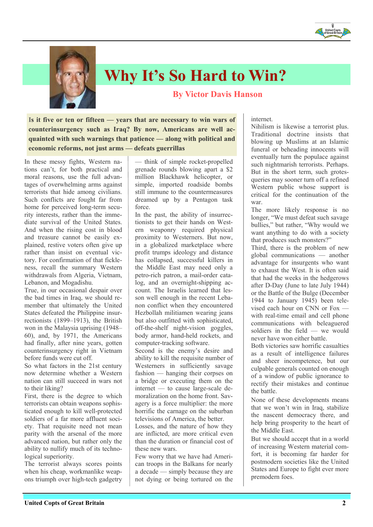



# Why It's So Hard to Win?

### By Victor Davis Hanson

Is it five or ten or fifteen — years that are necessary to win wars of counterinsurgency such as Iraq? By now, Americans are well acquainted with such warnings that patience — along with political and economic reforms, not just arms — defeats guerrillas

In these messy fights, Western nations can't, for both practical and moral reasons, use the full advantages of overwhelming arms against terrorists that hide among civilians. Such conflicts are fought far from home for perceived long-term security interests, rather than the immediate survival of the United States. And when the rising cost in blood and treasure cannot be easily explained, restive voters often give up rather than insist on eventual victory. For confirmation of that fickleness, recall the summary Western withdrawals from Algeria, Vietnam, Lebanon, and Mogadishu.

True, in our occasional despair over the bad times in Iraq, we should remember that ultimately the United States defeated the Philippine insurrectionists (1899–1913), the British won in the Malaysia uprising (1948– 60), and, by 1971, the Americans had finally, after nine years, gotten counterinsurgency right in Vietnam before funds were cut off.

So what factors in the 21st century now determine whether a Western nation can still succeed in wars not to their liking?

First, there is the degree to which terrorists can obtain weapons sophisticated enough to kill well-protected soldiers of a far more affluent society. That requisite need not mean parity with the arsenal of the more advanced nation, but rather only the ability to nullify much of its technological superiority.

The terrorist always scores points when his cheap, workmanlike weapons triumph over high-tech gadgetry

— think of simple rocket-propelled grenade rounds blowing apart a \$2 million Blackhawk helicopter, or simple, imported roadside bombs still immune to the countermeasures dreamed up by a Pentagon task force.

In the past, the ability of insurrectionists to get their hands on Western weaponry required physical proximity to Westerners. But now in a globalized marketplace where profit trumps ideology and distance has collapsed, successful killers in the Middle East may need only a petro-rich patron, a mail-order catalog, and an overnight-shipping account. The Israelis learned that lesson well enough in the recent Lebanon conflict when they encountered Hezbollah militiamen wearing jeans but also outfitted with sophisticated, off-the-shelf night-vision goggles, body armor, hand-held rockets, and computer-tracking software.

Second is the enemy's desire and ability to kill the requisite number of Westerners in sufficiently savage fashion — hanging their corpses on a bridge or executing them on the internet — to cause large-scale demoralization on the home front. Savagery is a force multiplier: the more horrific the carnage on the suburban televisions of America, the better.

Losses, and the nature of how they are inflicted, are more critical even than the duration or financial cost of these new wars.

Few worry that we have had American troops in the Balkans for nearly a decade — simply because they are not dying or being tortured on the internet.

Nihilism is likewise a terrorist plus. Traditional doctrine insists that blowing up Muslims at an Islamic funeral or beheading innocents will eventually turn the populace against such nightmarish terrorists. Perhaps. But in the short term, such grotesqueries may sooner turn off a refined Western public whose support is critical for the continuation of the war.

The more likely response is no longer, "We must defeat such savage bullies," but rather, "Why would we want anything to do with a society that produces such monsters?"

Third, there is the problem of new global communications — another advantage for insurgents who want to exhaust the West. It is often said that had the weeks in the hedgerows after D-Day (June to late July 1944) or the Battle of the Bulge (December 1944 to January 1945) been televised each hour on CNN or Fox with real-time email and cell phone communications with beleaguered soldiers in the field — we would never have won either battle.

Both victories saw horrific casualties as a result of intelligence failures and sheer incompetence, but our culpable generals counted on enough of a window of public ignorance to rectify their mistakes and continue the battle.

None of these developments means that we won't win in Iraq, stabilize the nascent democracy there, and help bring prosperity to the heart of the Middle East.

But we should accept that in a world of increasing Western material comfort, it is becoming far harder for postmodern societies like the United States and Europe to fight ever more premodern foes.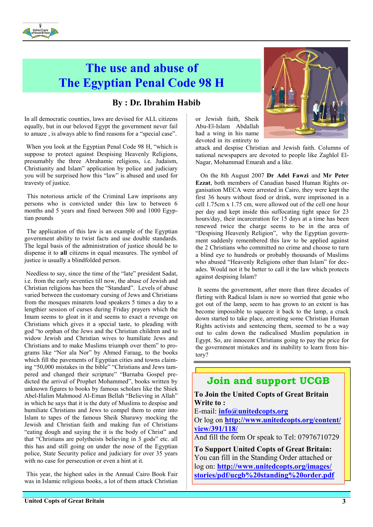

# The use and abuse of The Egyptian Penal Code 98 H

### By : Dr. Ibrahim Habib

In all democratic counties, laws are devised for ALL citizens equally, but in our beloved Egypt the government never fail to amaze , is always able to find reasons for a "special case".

 When you look at the Egyptian Penal Code 98 H, "which is suppose to protect against Despising Heavenly Religions, presumably the three Abrahamic religions, i.e. Judaism, Christianity and Islam" application by police and judiciary you will be surprised how this "law" is abused and used for travesty of justice.

 This notorious article of the Criminal Law imprisons any persons who is convicted under this law to between 6 months and 5 years and fined between 500 and 1000 Egyptian pounds

 The application of this law is an example of the Egyptian government ability to twist facts and use double standards. The legal basis of the administration of justice should be to dispense it to all citizens in equal measures. The symbol of justice is usually a blindfolded person.

 Needless to say, since the time of the "late" president Sadat, i.e. from the early seventies till now, the abuse of Jewish and Christian religions has been the "Standard". Levels of abuse varied between the customary cursing of Jews and Christians from the mosques minarets loud speakers 5 times a day to a lengthier session of curses during Friday prayers which the Imam seems to gloat in it and seems to exact a revenge on Christians which gives it a special taste, to pleading with god "to orphan of the Jews and the Christian children and to widow Jewish and Christian wives to humiliate Jews and Christians and to make Muslims triumph over them" to programs like "Nor ala Nor" by Ahmed Faraag, to the books which fill the pavements of Egyptian cities and towns claiming "50,000 mistakes in the bible" "Christians and Jews tampered and changed their scripture" "Barnaba Gospel predicted the arrival of Prophet Mohammed", books written by unknown figures to books by famous scholars like the Shiek Abel-Halim Mahmood Al-Eman Bellah "Believing in Allah" in which he says that it is the duty of Muslims to despise and humiliate Christians and Jews to compel them to enter into Islam to tapes of the famous Sheik Sharawy mocking the Jewish and Christian faith and making fun of Christians "eating dough and saying the it is the body of Christ" and that "Christians are polytheists believing in 3 gods" etc. all this has and still going on under the nose of the Egyptian police, State Security police and judiciary for over 35 years with no case for persecution or even a hint at it.

 This year, the highest sales in the Annual Cairo Book Fair was in Islamic religious books, a lot of them attack Christian



or Jewish faith, Sheik Abu-El-Islam Abdallah had a wing in his name devoted in its entirety to

attack and despise Christian and Jewish faith. Columns of national newspapers are devoted to people like Zaghlol El-Nagar, Mohammad Emarah and a like.

 On the 8th August 2007 Dr Adel Fawzi and Mr Peter Ezzat, both members of Canadian based Human Rights organisation MECA were arrested in Cairo, they were kept the first 36 hours without food or drink, were imprisoned in a cell 1.75cm x 1.75 cm, were allowed out of the cell one hour per day and kept inside this suffocating tight space for 23 hours/day, their incarceration for 15 days at a time has been renewed twice the charge seems to be in the area of "Despising Heavenly Religion", why the Egyptian government suddenly remembered this law to be applied against the 2 Christians who committed no crime and choose to turn a blind eye to hundreds or probably thousands of Muslims who abused "Heavenly Religions other than Islam" for decades. Would not it be better to call it the law which protects against despising Islam?

 It seems the government, after more than three decades of flirting with Radical Islam is now so worried that genie who got out of the lamp, seem to has grown to an extent is has become impossible to squeeze it back to the lamp, a crack down started to take place, arresting some Christian Human Rights activists and sentencing them, seemed to be a way out to calm down the radicalised Muslim population in Egypt. So, are innocent Christians going to pay the price for the government mistakes and its inability to learn from history?

### Join and support UCGB

#### To Join the United Copts of Great Britain Write to :

E-mail: info@unitedcopts.org

#### Or log on http://www.unitedcopts.org/content/ view/391/118/

And fill the form Or speak to Tel: 07976710729

To Support United Copts of Great Britain: You can fill in the Standing Order attached or log on: http://www.unitedcopts.org/images/ stories/pdf/ucgb%20standing%20order.pdf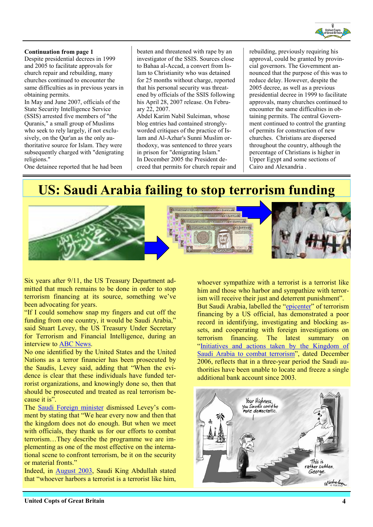

#### Continuation from page 1

Despite presidential decrees in 1999 and 2005 to facilitate approvals for church repair and rebuilding, many churches continued to encounter the same difficulties as in previous years in obtaining permits.

In May and June 2007, officials of the State Security Intelligence Service (SSIS) arrested five members of "the Quranis," a small group of Muslims who seek to rely largely, if not exclusively, on the Qur'an as the only authoritative source for Islam. They were subsequently charged with "denigrating religions."

One detainee reported that he had been

beaten and threatened with rape by an investigator of the SSIS. Sources close to Bahaa al-Accad, a convert from Islam to Christianity who was detained for 25 months without charge, reported that his personal security was threatened by officials of the SSIS following his April 28, 2007 release. On February 22, 2007.

Abdel Karim Nabil Suleiman, whose blog entries had contained stronglyworded critiques of the practice of Islam and Al-Azhar's Sunni Muslim orthodoxy, was sentenced to three years in prison for "denigrating Islam." In December 2005 the President decreed that permits for church repair and

rebuilding, previously requiring his approval, could be granted by provincial governors. The Government announced that the purpose of this was to reduce delay. However, despite the 2005 decree, as well as a previous presidential decree in 1999 to facilitate approvals, many churches continued to encounter the same difficulties in obtaining permits. The central Government continued to control the granting of permits for construction of new churches. Christians are dispersed throughout the country, although the percentage of Christians is higher in Upper Egypt and some sections of Cairo and Alexandria .

# US: Saudi Arabia failing to stop terrorism funding



Six years after 9/11, the US Treasury Department admitted that much remains to be done in order to stop terrorism financing at its source, something we've been advocating for years.

"If I could somehow snap my fingers and cut off the funding from one country, it would be Saudi Arabia," said Stuart Levey, the US Treasury Under Secretary for Terrorism and Financial Intelligence, during an interview to ABC News.

No one identified by the United States and the United Nations as a terror financier has been prosecuted by the Saudis, Levey said, adding that "When the evidence is clear that these individuals have funded terrorist organizations, and knowingly done so, then that should be prosecuted and treated as real terrorism because it is".

The Saudi Foreign minister dismissed Levey's comment by stating that "We hear every now and then that the kingdom does not do enough. But when we meet with officials, they thank us for our efforts to combat terrorism…They describe the programme we are implementing as one of the most effective on the international scene to confront terrorism, be it on the security or material fronts."

Indeed, in August 2003, Saudi King Abdullah stated that "whoever harbors a terrorist is a terrorist like him,

whoever sympathize with a terrorist is a terrorist like him and those who harbor and sympathize with terrorism will receive their just and deterrent punishment". But Saudi Arabia, labelled the "epicenter" of terrorism financing by a US official, has demonstrated a poor record in identifying, investigating and blocking assets, and cooperating with foreign investigations on terrorism financing. The latest summary on "Initiatives and actions taken by the Kingdom of Saudi Arabia to combat terrorism", dated December 2006, reflects that in a three-year period the Saudi authorities have been unable to locate and freeze a single



additional bank account since 2003.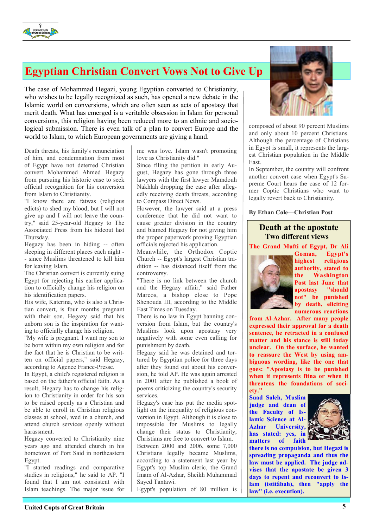

### Egyptian Christian Convert Vows Not to Give Up

The case of Mohammad Hegazi, young Egyptian converted to Christianity, who wishes to be legally recognized as such, has opened a new debate in the Islamic world on conversions, which are often seen as acts of apostasy that merit death. What has emerged is a veritable obsession in Islam for personal conversions, this religion having been reduced more to an ethnic and sociological submission. There is even talk of a plan to convert Europe and the world to Islam, to which European governments are giving a hand.

Death threats, his family's renunciation of him, and condemnation from most of Egypt have not deterred Christian convert Mohammed Ahmed Hegazy from pursuing his historic case to seek official recognition for his conversion from Islam to Christianity.

"I know there are fatwas (religious edicts) to shed my blood, but I will not give up and I will not leave the country," said 25-year-old Hegazy to The Associated Press from his hideout last Thursday.

Hegazy has been in hiding -- often sleeping in different places each night - - since Muslims threatened to kill him for leaving Islam.

The Christian convert is currently suing Egypt for rejecting his earlier application to officially change his religion on his identification papers.

His wife, Katerina, who is also a Christian convert, is four months pregnant with their son. Hegazy said that his unborn son is the inspiration for wanting to officially change his religion.

"My wife is pregnant. I want my son to be born within my own religion and for the fact that he is Christian to be written on official papers," said Hegazy, according to Agence France-Presse.

In Egypt, a child's registered religion is based on the father's official faith. As a result, Hegazy has to change his religion to Christianity in order for his son to be raised openly as a Christian and be able to enroll in Christian religious classes at school, wed in a church, and attend church services openly without harassment.

Hegazy converted to Christianity nine years ago and attended church in his hometown of Port Said in northeastern Egypt.

"I started readings and comparative studies in religions," he said to AP. "I found that I am not consistent with Islam teachings. The major issue for me was love. Islam wasn't promoting love as Christianity did."

Since filing the petition in early August, Hegazy has gone through three lawyers with the first lawyer Mamdouh Nakhlah dropping the case after allegedly receiving death threats, according to Compass Direct News.

However, the lawyer said at a press conference that he did not want to cause greater division in the country and blamed Hegazy for not giving him the proper paperwork proving Egyptian officials rejected his application.

Meanwhile, the Orthodox Coptic Church -- Egypt's largest Christian tradition -- has distanced itself from the controversy.

"There is no link between the church and the Hegazy affair," said Father Marcos, a bishop close to Pope Shenouda III, according to the Middle East Times on Tuesday.

There is no law in Egypt banning conversion from Islam, but the country's Muslims look upon apostasy very negatively with some even calling for punishment by death.

Hegazy said he was detained and tortured by Egyptian police for three days after they found out about his conversion, he told AP. He was again arrested in 2001 after he published a book of poems criticizing the country's security services.

Hegazy's case has put the media spotlight on the inequality of religious conversion in Egypt. Although it is close to impossible for Muslims to legally change their status to Christianity, Christians are free to convert to Islam. Between 2000 and 2006, some 7,000 Christians legally became Muslims, according to a statement last year by Egypt's top Muslim cleric, the Grand Imam of Al-Azhar, Sheikh Muhammad Sayed Tantawi.

Egypt's population of 80 million is



composed of about 90 percent Muslims and only about 10 percent Christians. Although the percentage of Christians in Egypt is small, it represents the largest Christian population in the Middle East.

In September, the country will confront another convert case when Egypt's Supreme Court hears the case of 12 former Coptic Christians who want to legally revert back to Christianity.

By Ethan Cole—Christian Post

#### Death at the apostate Two different views

The Grand Mufti of Egypt, Dr Ali



Gomaa, Egypt's highest religious authority, stated to the Washington Post last June that apostasy "should not" be punished by death, eliciting numerous reactions

from Al-Azhar. After many people expressed their approval for a death sentence, he retracted in a confused matter and his stance is still today unclear. On the surface, he wanted to reassure the West by using ambiguous wording, like the one that goes: "Apostasy is to be punished when it represents fitna or when it threatens the foundations of society."

Suad Saleh, Muslim judge and dean of the Faculty of Islamic Science at Al-Azhar University, has stated: yes, in matters of faith



there is no compulsion, but Hegazi is spreading propaganda and thus the law must be applied. The judge advises that the apostate be given 3 days to repent and reconvert to Islam (istitâbah), then "apply the law" (i.e. execution).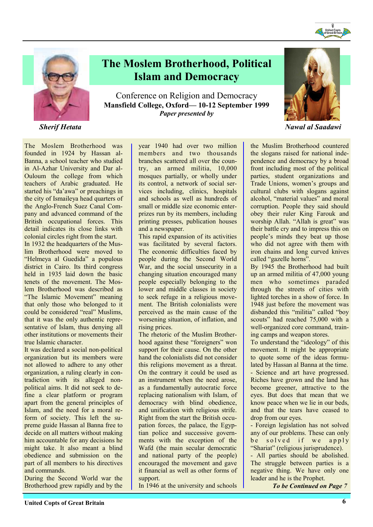



## The Moslem Brotherhood, Political Islam and Democracy

Conference on Religion and Democracy Mansfield College, Oxford— 10-12 September 1999 Paper presented by



Sherif Hetata Nawal al Saadawi

The Moslem Brotherhood was founded in 1924 by Hassan al-Banna, a school teacher who studied in Al-Azhar University and Dar al-Ouloum the college from which teachers of Arabic graduated. He started his "da'awa" or preachings in the city of Ismaileya head quarters of the Anglo-French Suez Canal Company and advanced command of the British occupational forces. This detail indicates its close links with colonial circles right from the start.

In 1932 the headquarters of the Muslim Brotherhood were moved to "Helmeya al Guedida" a populous district in Cairo. Its third congress held in 1935 laid down the basic tenets of the movement. The Moslem Brotherhood was described as "The Islamic Movement" meaning that only those who belonged to it could be considered "real" Muslims, that it was the only authentic representative of Islam, thus denying all other institutions or movements their true Islamic character.

It was declared a social non-political organization but its members were not allowed to adhere to any other organization, a ruling clearly in contradiction with its alleged nonpolitical aims. It did not seek to define a clear platform or program apart from the general principles of Islam, and the need for a moral reform of society. This left the supreme guide Hassan al Banna free to decide on all matters without making him accountable for any decisions he might take. It also meant a blind obedience and submission on the part of all members to his directives and commands.

During the Second World war the Brotherhood grew rapidly and by the year 1940 had over two million members and two thousands branches scattered all over the country, an armed militia, 10,000 mosques partially, or wholly under its control, a network of social services including, clinics, hospitals and schools as well as hundreds of small or middle size economic enterprizes run by its members, including printing presses, publication houses and a newspaper.

This rapid expansion of its activities was facilitated by several factors. The economic difficulties faced by people during the Second World War, and the social unsecurity in a changing situation encouraged many people especially belonging to the lower and middle classes in society to seek refuge in a religious movement. The British colonialists were perceived as the main cause of the worsening situation, of inflation, and rising prices.

The rhetoric of the Muslim Brotherhood against these "foreigners" won support for their cause. On the other hand the colonialists did not consider this religions movement as a threat. On the contrary it could be used as an instrument when the need arose as a fundamentally autocratic force replacing nationalism with Islam, of democracy with blind obedience. and unification with religious strife. Right from the start the British occupation forces, the palace, the Egyptian police and successive governments with the exception of the Wafd (the main secular democratic and national party of the people) encouraged the movement and gave it financial as well as other forms of support.

In 1946 at the university and schools

the Muslim Brotherhood countered the slogans raised for national independence and democracy by a broad front including most of the political parties, student organizations and Trade Unions, women's groups and cultural clubs with slogans against alcohol, "material values" and moral corruption. People they said should obey their ruler King Farouk and worship Allah. "Allah is great" was their battle cry and to impress this on people's minds they beat up those who did not agree with them with iron chains and long curved knives called "gazelle horns".

By 1945 the Brotherhood had built up an armed militia of 47,000 young men who sometimes paraded through the streets of cities with lighted torches in a show of force. In 1948 just before the movement was disbanded this "militia" called "boy scouts" had reached 75,000 with a well-organized core command, training camps and weapon stores.

To understand the "ideology" of this movement. It might be appropriate to quote some of the ideas formulated by Hassan al Banna at the time.

- Science and art have progressed. Riches have grown and the land has become greener, attractive to the eyes. But does that mean that we know peace when we lie in our beds, and that the tears have ceased to drop from our eyes.

- Foreign legislation has not solved any of our problems. These can only be solved if we apply "Shariat" (religious jurisprudence).

- All parties should be abolished. The struggle between parties is a negative thing. We have only one leader and he is the Prophet.

To be Continued on Page 7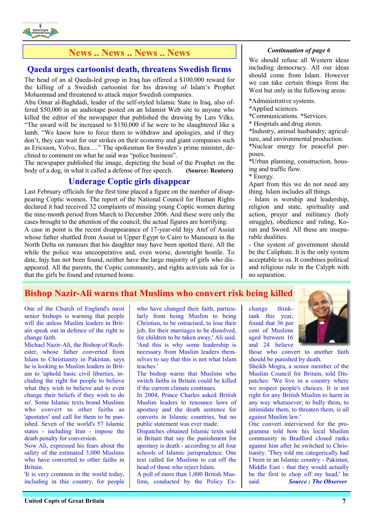

### News .. News .. News .. News

### Qaeda urges cartoonist death, threatens Swedish firms

The head of an al Qaeda-led group in Iraq has offered a \$100,000 reward for the killing of a Swedish cartoonist for his drawing of Islam's Prophet Mohammad and threatened to attack major Swedish companies.

Abu Omar al-Baghdadi, leader of the self-styled Islamic State in Iraq, also offered \$50,000 in an audiotape posted on an Islamist Web site to anyone who killed the editor of the newspaper that published the drawing by Lars Vilks. "The award will be increased to \$150,000 if he were to be slaughtered like a lamb. "We know how to force them to withdraw and apologies, and if they don't, they can wait for our strikes on their economy and giant companies such as Ericsson, Volvo, Ikea…." The spokesman for Sweden's prime minister, declined to comment on what he said was "police business".

The newspaper published the image, depicting the head of the Prophet on the body of a dog, in what it called a defense of free speech. (Source: Reuters)

### Underage Coptic girls disappear

Last February officials for the first time placed a figure on the number of disappearing Coptic women. The report of the National Council for Human Rights declared it had received 32 complaints of missing young Coptic women during the nine-month period from March to December 2006. And these were only the cases brought to the attention of the council; the actual figures are horrifying.

A case in point is the recent disappearance of 17-year-old Injy Atef of Assiut whose father shuttled from Assiut in Upper Egypt to Cairo to Mansoura in the North Delta on rumours that his daughter may have been spotted there. All the while the police was uncooperative and, even worse, downright hostile. To date, Injy has not been found, neither have the large majority of girls who disappeared. All the parents, the Coptic community, and rights activists ask for is that the girls be found and returned home.

#### Continuation of page 6

We should refuse all Western ideas including democracy. All our ideas should come from Islam. However we can take certain things from the West but only in the following areas:

\*Administrative systems.

- \*Applied sciences.
- \*Communications. \*Services.
- \* Hospitals and drug stores.

\*Industry, animal husbandry, agriculture, and environmental production.

\*Nuclear energy for peaceful purposes.

\*Urban planning, construction, housing and traffic flow.

\* Energy.

Apart from this we do not need any thing. Islam includes all things.

- Islam is worship and leadership, religion and state, spirituality and action, prayer and militancy (holy struggle), obedience and ruling, Koran and Sword. All these are inseparable dualities.

- Our system of government should be the Caliphate. It is the only system acceptable to us. It combines political and religious rule in the Calyph with no separation.

### Bishop Nazir-Ali warns that Muslims who convert risk being killed

One of the Church of England's most senior bishops is warning that people will die unless Muslim leaders in Britain speak out in defence of the right to change faith.

Michael Nazir-Ali, the Bishop of Rochester, whose father converted from Islam to Christianity in Pakistan, says he is looking to Muslim leaders in Britain to 'uphold basic civil liberties, including the right for people to believe what they wish to believe and to even change their beliefs if they wish to do so'. Some Islamic texts brand Muslims who convert to other faiths as 'apostates' and call for them to be punished. Seven of the world's 57 Islamic states - including Iran - impose the death penalty for conversion.

Now Ali, expressed his fears about the safety of the estimated 3,000 Muslims who have converted to other faiths in **Britain** 

'It is very common in the world today, including in this country, for people

who have changed their faith, particularly from being Muslim to being Christian, to be ostracised, to lose their job, for their marriages to be dissolved, for children to be taken away,' Ali said. 'And this is why some leadership is necessary from Muslim leaders themselves to say that this is not what Islam teaches.'

The bishop warns that Muslims who switch faiths in Britain could be killed if the current climate continues.

In 2004, Prince Charles asked British Muslim leaders to renounce laws of apostasy and the death sentence for converts in Islamic countries, but no public statement was ever made.

Dispatches obtained Islamic texts sold in Britain that say the punishment for apostasy is death - according to all four schools of Islamic jurisprudence. One text called for Muslims to cut off the head of those who reject Islam.

A poll of more than 1,000 British Muslims, conducted by the Policy Exchange thinktank this year, found that 36 per cent of Muslims aged between 16 and 24 believe



those who convert to another faith should be punished by death.

Sheikh Mogra, a senior member of the Muslim Council for Britain, told Dispatches: 'We live in a country where we respect people's choices. It is not right for any British Muslim to harm in any way whatsoever; to bully them, to intimidate them, to threaten them, is all against Muslim law.'

One convert interviewed for the programme told how his local Muslim community in Bradford closed ranks against him after he switched to Christianity. 'They told me categorically had I been in an Islamic country - Pakistan, Middle East - that they would actually be the first to chop off my head,' he said. **Source : The Observer**